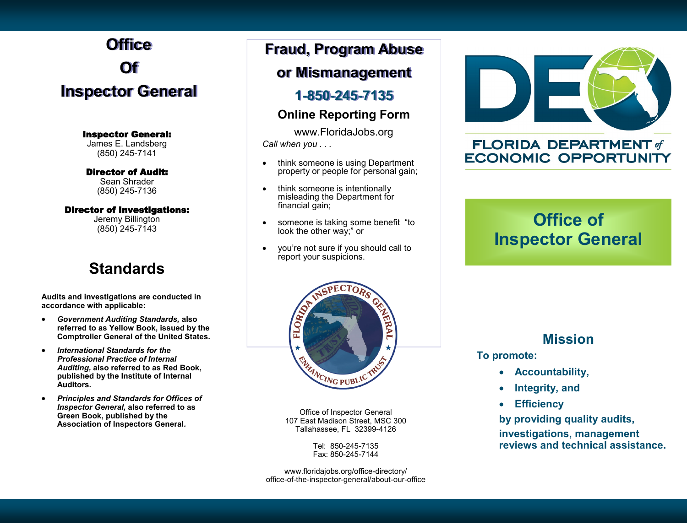# **Office Of Inspector General**

Inspector General:

James E. Landsberg (850) 245-7141

Director of Audit:

Sean Shrader (850) 245-7136

#### Director of Investigations:

Jeremy Billington (850) 245-7143

## **Standards**

**Audits and investigations are conducted in accordance with applicable:**

- *Government Auditing Standards,* **also referred to as Yellow Book, issued by the Comptroller General of the United States.**
- *International Standards for the Professional Practice of Internal Auditing,* **also referred to as Red Book, published by the Institute of Internal Auditors.**
- *Principles and Standards for Offices of Inspector General,* **also referred to as Green Book, published by the Association of Inspectors General***.*

## **Fraud, Program Abuse**

### **or Mismanagement**

#### **1-850-245-7135**

#### **Online Reporting Form**

www.FloridaJobs.org *Call when you . . .*

- think someone is using Department property or people for personal gain;
- think someone is intentionally misleading the Department for financial gain;
- someone is taking some benefit "to look the other way;" or
- you're not sure if you should call to report your suspicions.



#### **FLORIDA DEPARTMENT of ECONOMIC OPPORTUNITY**

## **Office of Inspector General**



Office of Inspector General 107 East Madison Street, MSC 300 Tallahassee, FL 32399-4126

> Tel: 850-245-7135 Fax: 850-245-7144

www.floridajobs.org/office-directory/ office-of-the-inspector-general/about-our-office

#### **Mission**

 **To promote:**

- **Accountability,**
- **Integrity, and**
- **Efficiency**

**by providing quality audits, investigations, management reviews and technical assistance.**